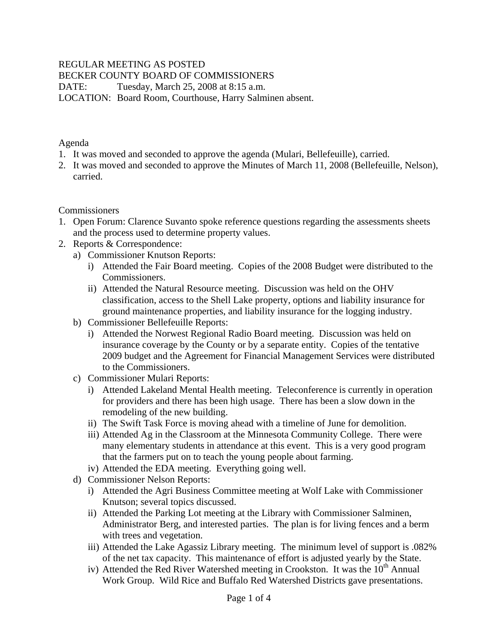### REGULAR MEETING AS POSTED

BECKER COUNTY BOARD OF COMMISSIONERS

DATE: Tuesday, March 25, 2008 at 8:15 a.m.

LOCATION: Board Room, Courthouse, Harry Salminen absent.

Agenda

- 1. It was moved and seconded to approve the agenda (Mulari, Bellefeuille), carried.
- 2. It was moved and seconded to approve the Minutes of March 11, 2008 (Bellefeuille, Nelson), carried.

**Commissioners** 

- 1. Open Forum: Clarence Suvanto spoke reference questions regarding the assessments sheets and the process used to determine property values.
- 2. Reports & Correspondence:
	- a) Commissioner Knutson Reports:
		- i) Attended the Fair Board meeting. Copies of the 2008 Budget were distributed to the Commissioners.
		- ii) Attended the Natural Resource meeting. Discussion was held on the OHV classification, access to the Shell Lake property, options and liability insurance for ground maintenance properties, and liability insurance for the logging industry.
	- b) Commissioner Bellefeuille Reports:
		- i) Attended the Norwest Regional Radio Board meeting. Discussion was held on insurance coverage by the County or by a separate entity. Copies of the tentative 2009 budget and the Agreement for Financial Management Services were distributed to the Commissioners.
	- c) Commissioner Mulari Reports:
		- i) Attended Lakeland Mental Health meeting. Teleconference is currently in operation for providers and there has been high usage. There has been a slow down in the remodeling of the new building.
		- ii) The Swift Task Force is moving ahead with a timeline of June for demolition.
		- iii) Attended Ag in the Classroom at the Minnesota Community College. There were many elementary students in attendance at this event. This is a very good program that the farmers put on to teach the young people about farming.
	- iv) Attended the EDA meeting. Everything going well.
	- d) Commissioner Nelson Reports:
		- i) Attended the Agri Business Committee meeting at Wolf Lake with Commissioner Knutson; several topics discussed.
		- ii) Attended the Parking Lot meeting at the Library with Commissioner Salminen, Administrator Berg, and interested parties. The plan is for living fences and a berm with trees and vegetation.
		- iii) Attended the Lake Agassiz Library meeting. The minimum level of support is .082% of the net tax capacity. This maintenance of effort is adjusted yearly by the State.
		- iv) Attended the Red River Watershed meeting in Crookston. It was the  $10<sup>th</sup>$  Annual Work Group. Wild Rice and Buffalo Red Watershed Districts gave presentations.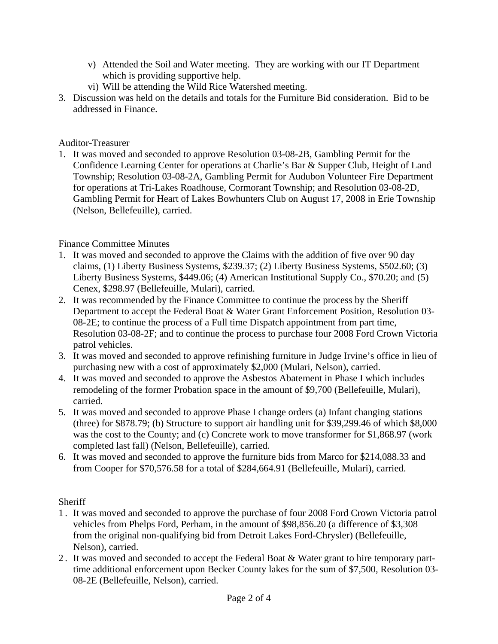- v) Attended the Soil and Water meeting. They are working with our IT Department which is providing supportive help.
- vi) Will be attending the Wild Rice Watershed meeting.
- 3. Discussion was held on the details and totals for the Furniture Bid consideration. Bid to be addressed in Finance.

### Auditor-Treasurer

1. It was moved and seconded to approve Resolution 03-08-2B, Gambling Permit for the Confidence Learning Center for operations at Charlie's Bar & Supper Club, Height of Land Township; Resolution 03-08-2A, Gambling Permit for Audubon Volunteer Fire Department for operations at Tri-Lakes Roadhouse, Cormorant Township; and Resolution 03-08-2D, Gambling Permit for Heart of Lakes Bowhunters Club on August 17, 2008 in Erie Township (Nelson, Bellefeuille), carried.

# Finance Committee Minutes

- 1. It was moved and seconded to approve the Claims with the addition of five over 90 day claims, (1) Liberty Business Systems, \$239.37; (2) Liberty Business Systems, \$502.60; (3) Liberty Business Systems, \$449.06; (4) American Institutional Supply Co., \$70.20; and (5) Cenex, \$298.97 (Bellefeuille, Mulari), carried.
- 2. It was recommended by the Finance Committee to continue the process by the Sheriff Department to accept the Federal Boat & Water Grant Enforcement Position, Resolution 03- 08-2E; to continue the process of a Full time Dispatch appointment from part time, Resolution 03-08-2F; and to continue the process to purchase four 2008 Ford Crown Victoria patrol vehicles.
- 3. It was moved and seconded to approve refinishing furniture in Judge Irvine's office in lieu of purchasing new with a cost of approximately \$2,000 (Mulari, Nelson), carried.
- 4. It was moved and seconded to approve the Asbestos Abatement in Phase I which includes remodeling of the former Probation space in the amount of \$9,700 (Bellefeuille, Mulari), carried.
- 5. It was moved and seconded to approve Phase I change orders (a) Infant changing stations (three) for \$878.79; (b) Structure to support air handling unit for \$39,299.46 of which \$8,000 was the cost to the County; and (c) Concrete work to move transformer for \$1,868.97 (work completed last fall) (Nelson, Bellefeuille), carried.
- 6. It was moved and seconded to approve the furniture bids from Marco for \$214,088.33 and from Cooper for \$70,576.58 for a total of \$284,664.91 (Bellefeuille, Mulari), carried.

# **Sheriff**

- 1 . It was moved and seconded to approve the purchase of four 2008 Ford Crown Victoria patrol vehicles from Phelps Ford, Perham, in the amount of \$98,856.20 (a difference of \$3,308 from the original non-qualifying bid from Detroit Lakes Ford-Chrysler) (Bellefeuille, Nelson), carried.
- 2 . It was moved and seconded to accept the Federal Boat & Water grant to hire temporary parttime additional enforcement upon Becker County lakes for the sum of \$7,500, Resolution 03- 08-2E (Bellefeuille, Nelson), carried.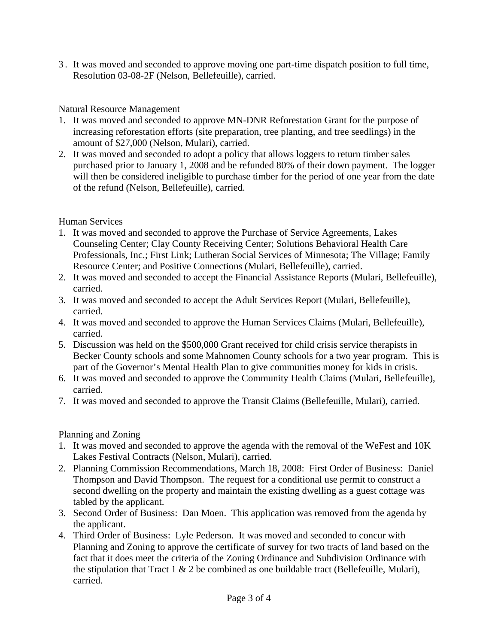3 . It was moved and seconded to approve moving one part-time dispatch position to full time, Resolution 03-08-2F (Nelson, Bellefeuille), carried.

### Natural Resource Management

- 1. It was moved and seconded to approve MN-DNR Reforestation Grant for the purpose of increasing reforestation efforts (site preparation, tree planting, and tree seedlings) in the amount of \$27,000 (Nelson, Mulari), carried.
- 2. It was moved and seconded to adopt a policy that allows loggers to return timber sales purchased prior to January 1, 2008 and be refunded 80% of their down payment. The logger will then be considered ineligible to purchase timber for the period of one year from the date of the refund (Nelson, Bellefeuille), carried.

# Human Services

- 1. It was moved and seconded to approve the Purchase of Service Agreements, Lakes Counseling Center; Clay County Receiving Center; Solutions Behavioral Health Care Professionals, Inc.; First Link; Lutheran Social Services of Minnesota; The Village; Family Resource Center; and Positive Connections (Mulari, Bellefeuille), carried.
- 2. It was moved and seconded to accept the Financial Assistance Reports (Mulari, Bellefeuille), carried.
- 3. It was moved and seconded to accept the Adult Services Report (Mulari, Bellefeuille), carried.
- 4. It was moved and seconded to approve the Human Services Claims (Mulari, Bellefeuille), carried.
- 5. Discussion was held on the \$500,000 Grant received for child crisis service therapists in Becker County schools and some Mahnomen County schools for a two year program. This is part of the Governor's Mental Health Plan to give communities money for kids in crisis.
- 6. It was moved and seconded to approve the Community Health Claims (Mulari, Bellefeuille), carried.
- 7. It was moved and seconded to approve the Transit Claims (Bellefeuille, Mulari), carried.

# Planning and Zoning

- 1. It was moved and seconded to approve the agenda with the removal of the WeFest and 10K Lakes Festival Contracts (Nelson, Mulari), carried.
- 2. Planning Commission Recommendations, March 18, 2008: First Order of Business: Daniel Thompson and David Thompson. The request for a conditional use permit to construct a second dwelling on the property and maintain the existing dwelling as a guest cottage was tabled by the applicant.
- 3. Second Order of Business: Dan Moen. This application was removed from the agenda by the applicant.
- 4. Third Order of Business: Lyle Pederson. It was moved and seconded to concur with Planning and Zoning to approve the certificate of survey for two tracts of land based on the fact that it does meet the criteria of the Zoning Ordinance and Subdivision Ordinance with the stipulation that Tract 1  $\&$  2 be combined as one buildable tract (Bellefeuille, Mulari), carried.